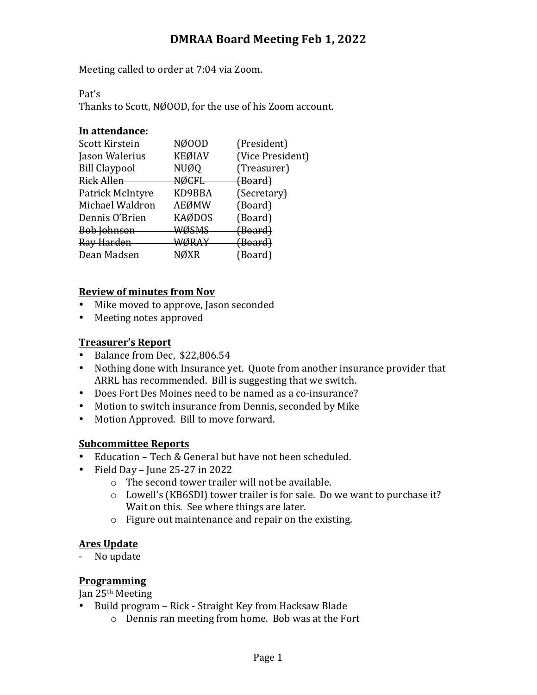# **DMRAA Board Meeting Feb 1, 2022**

Meeting called to order at 7:04 via Zoom.

Pat's

Thanks to Scott, NØOOD, for the use of his Zoom account.

#### In attendance:

| Scott Kirstein       | NØ00D         | (President)        |
|----------------------|---------------|--------------------|
| Jason Walerius       | <b>KEØIAV</b> | (Vice President)   |
| <b>Bill Claypool</b> | <b>NUØQ</b>   | (Treasurer)        |
| Rick Allen           | <b>NØCFL</b>  | <del>(Board)</del> |
| Patrick McIntyre     | KD9BBA        | (Secretary)        |
| Michael Waldron      | AEØMW         | (Board)            |
| Dennis O'Brien       | <b>KAØDOS</b> | (Board)            |
| <b>Bob Johnson</b>   | <b>WØSMS</b>  | <del>(Board)</del> |
| Ray Harden           | <b>WØRAY</b>  | <del>(Board)</del> |
| Dean Madsen          | JØXR          | (Board)            |
|                      |               |                    |

#### **Review of minutes from Nov**

- Mike moved to approve, Jason seconded
- Meeting notes approved

## **Treasurer's Report**

- Balance from Dec, \$22,806.54
- Nothing done with Insurance yet. Quote from another insurance provider that ARRL has recommended. Bill is suggesting that we switch.
- Does Fort Des Moines need to be named as a co-insurance?
- Motion to switch insurance from Dennis, seconded by Mike
- Motion Approved. Bill to move forward.

## **Subcommittee Reports**

- Education Tech & General but have not been scheduled.
- Field Day Iune  $25-27$  in  $2022$ 
	- $\circ$  The second tower trailer will not be available.
	- $\circ$  Lowell's (KB6SDI) tower trailer is for sale. Do we want to purchase it? Wait on this. See where things are later.
	- $\circ$  Figure out maintenance and repair on the existing.

#### **Ares Update**

- No update

## **Programming**

Jan 25<sup>th</sup> Meeting

- Build program Rick Straight Key from Hacksaw Blade
	- $\circ$  Dennis ran meeting from home. Bob was at the Fort